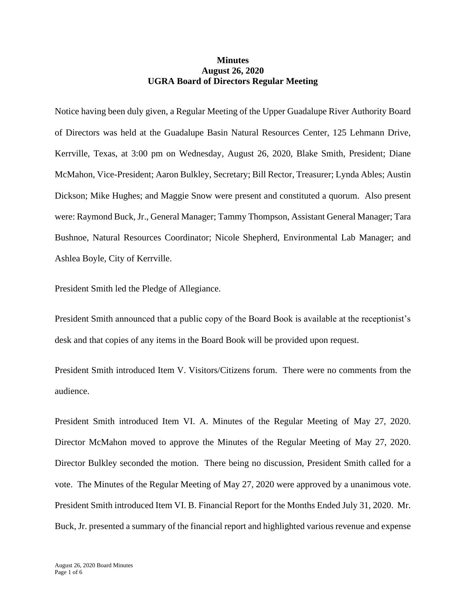## **Minutes August 26, 2020 UGRA Board of Directors Regular Meeting**

Notice having been duly given, a Regular Meeting of the Upper Guadalupe River Authority Board of Directors was held at the Guadalupe Basin Natural Resources Center, 125 Lehmann Drive, Kerrville, Texas, at 3:00 pm on Wednesday, August 26, 2020, Blake Smith, President; Diane McMahon, Vice-President; Aaron Bulkley, Secretary; Bill Rector, Treasurer; Lynda Ables; Austin Dickson; Mike Hughes; and Maggie Snow were present and constituted a quorum. Also present were: Raymond Buck, Jr., General Manager; Tammy Thompson, Assistant General Manager; Tara Bushnoe, Natural Resources Coordinator; Nicole Shepherd, Environmental Lab Manager; and Ashlea Boyle, City of Kerrville.

President Smith led the Pledge of Allegiance.

President Smith announced that a public copy of the Board Book is available at the receptionist's desk and that copies of any items in the Board Book will be provided upon request.

President Smith introduced Item V. Visitors/Citizens forum. There were no comments from the audience.

President Smith introduced Item VI. A. Minutes of the Regular Meeting of May 27, 2020. Director McMahon moved to approve the Minutes of the Regular Meeting of May 27, 2020. Director Bulkley seconded the motion. There being no discussion, President Smith called for a vote. The Minutes of the Regular Meeting of May 27, 2020 were approved by a unanimous vote. President Smith introduced Item VI. B. Financial Report for the Months Ended July 31, 2020. Mr. Buck, Jr. presented a summary of the financial report and highlighted various revenue and expense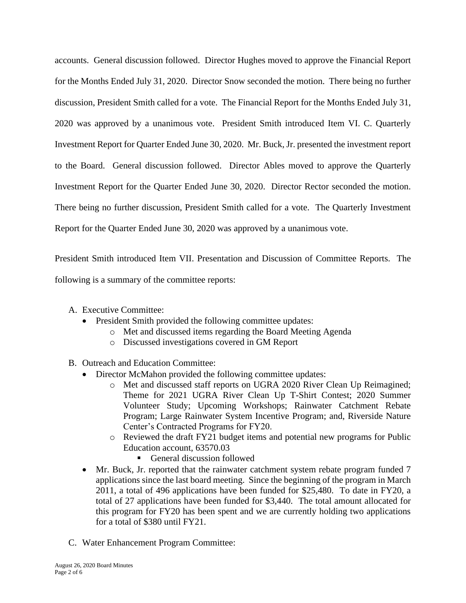accounts. General discussion followed. Director Hughes moved to approve the Financial Report for the Months Ended July 31, 2020. Director Snow seconded the motion. There being no further discussion, President Smith called for a vote. The Financial Report for the Months Ended July 31, 2020 was approved by a unanimous vote. President Smith introduced Item VI. C. Quarterly Investment Report for Quarter Ended June 30, 2020. Mr. Buck, Jr. presented the investment report to the Board. General discussion followed. Director Ables moved to approve the Quarterly Investment Report for the Quarter Ended June 30, 2020. Director Rector seconded the motion. There being no further discussion, President Smith called for a vote. The Quarterly Investment Report for the Quarter Ended June 30, 2020 was approved by a unanimous vote.

President Smith introduced Item VII. Presentation and Discussion of Committee Reports. The following is a summary of the committee reports:

- A. Executive Committee:
	- President Smith provided the following committee updates:
		- o Met and discussed items regarding the Board Meeting Agenda
		- o Discussed investigations covered in GM Report
- B. Outreach and Education Committee:
	- Director McMahon provided the following committee updates:
		- o Met and discussed staff reports on UGRA 2020 River Clean Up Reimagined; Theme for 2021 UGRA River Clean Up T-Shirt Contest; 2020 Summer Volunteer Study; Upcoming Workshops; Rainwater Catchment Rebate Program; Large Rainwater System Incentive Program; and, Riverside Nature Center's Contracted Programs for FY20.
		- o Reviewed the draft FY21 budget items and potential new programs for Public Education account, 63570.03
			- General discussion followed
	- Mr. Buck, Jr. reported that the rainwater catchment system rebate program funded 7 applications since the last board meeting. Since the beginning of the program in March 2011, a total of 496 applications have been funded for \$25,480. To date in FY20, a total of 27 applications have been funded for \$3,440. The total amount allocated for this program for FY20 has been spent and we are currently holding two applications for a total of \$380 until FY21.
- C. Water Enhancement Program Committee: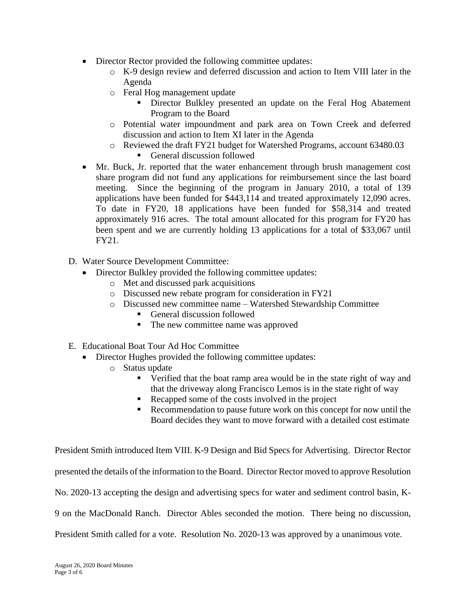- Director Rector provided the following committee updates:
	- o K-9 design review and deferred discussion and action to Item VIII later in the Agenda
	- o Feral Hog management update
		- Director Bulkley presented an update on the Feral Hog Abatement Program to the Board
	- o Potential water impoundment and park area on Town Creek and deferred discussion and action to Item XI later in the Agenda
	- o Reviewed the draft FY21 budget for Watershed Programs, account 63480.03
		- General discussion followed
- Mr. Buck, Jr. reported that the water enhancement through brush management cost share program did not fund any applications for reimbursement since the last board meeting. Since the beginning of the program in January 2010, a total of 139 applications have been funded for \$443,114 and treated approximately 12,090 acres. To date in FY20, 18 applications have been funded for \$58,314 and treated approximately 916 acres. The total amount allocated for this program for FY20 has been spent and we are currently holding 13 applications for a total of \$33,067 until FY21.
- D. Water Source Development Committee:
	- Director Bulkley provided the following committee updates:
		- o Met and discussed park acquisitions
		- o Discussed new rebate program for consideration in FY21
		- o Discussed new committee name Watershed Stewardship Committee
			- General discussion followed
			- The new committee name was approved
- E. Educational Boat Tour Ad Hoc Committee
	- Director Hughes provided the following committee updates:
		- o Status update
			- Verified that the boat ramp area would be in the state right of way and that the driveway along Francisco Lemos is in the state right of way
			- Recapped some of the costs involved in the project
			- Recommendation to pause future work on this concept for now until the Board decides they want to move forward with a detailed cost estimate

President Smith introduced Item VIII. K-9 Design and Bid Specs for Advertising. Director Rector presented the details of the information to the Board. Director Rector moved to approve Resolution No. 2020-13 accepting the design and advertising specs for water and sediment control basin, K-9 on the MacDonald Ranch. Director Ables seconded the motion. There being no discussion, President Smith called for a vote. Resolution No. 2020-13 was approved by a unanimous vote.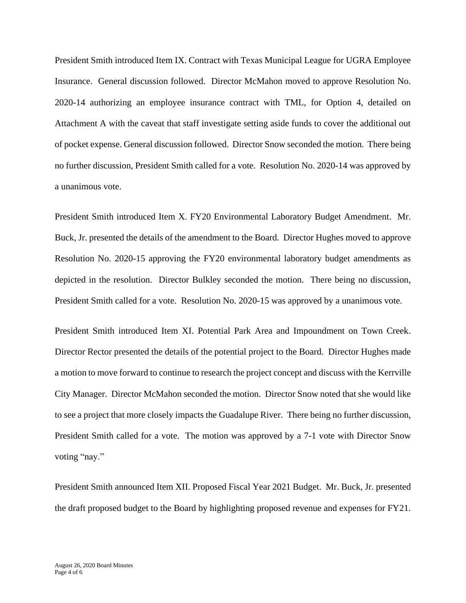President Smith introduced Item IX. Contract with Texas Municipal League for UGRA Employee Insurance. General discussion followed. Director McMahon moved to approve Resolution No. 2020-14 authorizing an employee insurance contract with TML, for Option 4, detailed on Attachment A with the caveat that staff investigate setting aside funds to cover the additional out of pocket expense. General discussion followed. Director Snow seconded the motion. There being no further discussion, President Smith called for a vote. Resolution No. 2020-14 was approved by a unanimous vote.

President Smith introduced Item X. FY20 Environmental Laboratory Budget Amendment. Mr. Buck, Jr. presented the details of the amendment to the Board. Director Hughes moved to approve Resolution No. 2020-15 approving the FY20 environmental laboratory budget amendments as depicted in the resolution. Director Bulkley seconded the motion. There being no discussion, President Smith called for a vote. Resolution No. 2020-15 was approved by a unanimous vote.

President Smith introduced Item XI. Potential Park Area and Impoundment on Town Creek. Director Rector presented the details of the potential project to the Board. Director Hughes made a motion to move forward to continue to research the project concept and discuss with the Kerrville City Manager. Director McMahon seconded the motion. Director Snow noted that she would like to see a project that more closely impacts the Guadalupe River. There being no further discussion, President Smith called for a vote. The motion was approved by a 7-1 vote with Director Snow voting "nay."

President Smith announced Item XII. Proposed Fiscal Year 2021 Budget. Mr. Buck, Jr. presented the draft proposed budget to the Board by highlighting proposed revenue and expenses for FY21.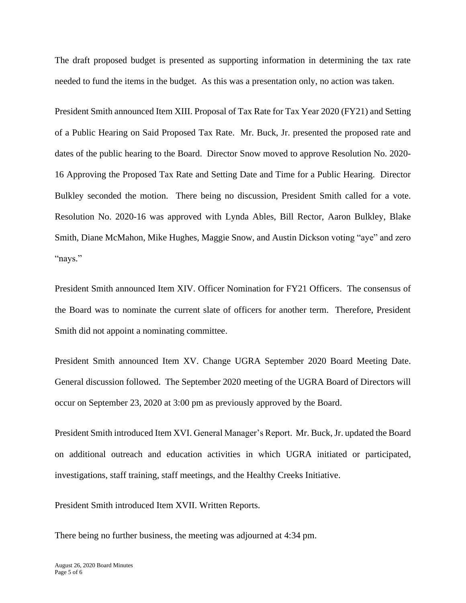The draft proposed budget is presented as supporting information in determining the tax rate needed to fund the items in the budget. As this was a presentation only, no action was taken.

President Smith announced Item XIII. Proposal of Tax Rate for Tax Year 2020 (FY21) and Setting of a Public Hearing on Said Proposed Tax Rate. Mr. Buck, Jr. presented the proposed rate and dates of the public hearing to the Board. Director Snow moved to approve Resolution No. 2020- 16 Approving the Proposed Tax Rate and Setting Date and Time for a Public Hearing. Director Bulkley seconded the motion. There being no discussion, President Smith called for a vote. Resolution No. 2020-16 was approved with Lynda Ables, Bill Rector, Aaron Bulkley, Blake Smith, Diane McMahon, Mike Hughes, Maggie Snow, and Austin Dickson voting "aye" and zero "nays."

President Smith announced Item XIV. Officer Nomination for FY21 Officers. The consensus of the Board was to nominate the current slate of officers for another term. Therefore, President Smith did not appoint a nominating committee.

President Smith announced Item XV. Change UGRA September 2020 Board Meeting Date. General discussion followed. The September 2020 meeting of the UGRA Board of Directors will occur on September 23, 2020 at 3:00 pm as previously approved by the Board.

President Smith introduced Item XVI. General Manager's Report. Mr. Buck, Jr. updated the Board on additional outreach and education activities in which UGRA initiated or participated, investigations, staff training, staff meetings, and the Healthy Creeks Initiative.

President Smith introduced Item XVII. Written Reports.

There being no further business, the meeting was adjourned at 4:34 pm.